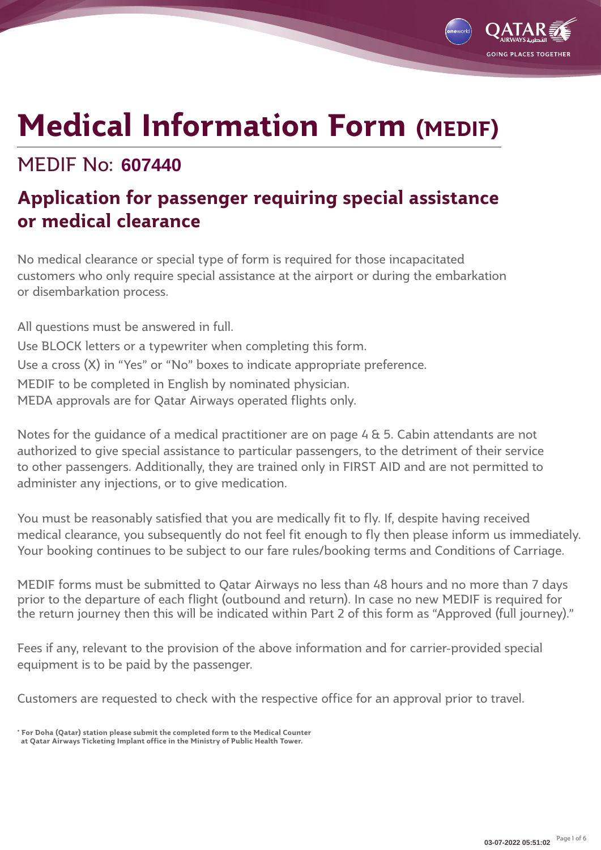MEDIF No: **607440**

# **Application for passenger requiring special assistance or medical clearance**

No medical clearance or special type of form is required for those incapacitated customers who only require special assistance at the airport or during the embarkation or disembarkation process.

All questions must be answered in full. Use BLOCK letters or a typewriter when completing this form. Use a cross (X) in "Yes" or "No" boxes to indicate appropriate preference. MEDIF to be completed in English by nominated physician. MEDA approvals are for Qatar Airways operated flights only.

Notes for the guidance of a medical practitioner are on page 4 & 5. Cabin attendants are not authorized to give special assistance to particular passengers, to the detriment of their service to other passengers. Additionally, they are trained only in FIRST AID and are not permitted to administer any injections, or to give medication.

You must be reasonably satisfied that you are medically fit to fly. If, despite having received medical clearance, you subsequently do not feel fit enough to fly then please inform us immediately. Your booking continues to be subject to our fare rules/booking terms and Conditions of Carriage.

MEDIF forms must be submitted to Qatar Airways no less than 48 hours and no more than 7 days prior to the departure of each flight (outbound and return). In case no new MEDIF is required for the return journey then this will be indicated within Part 2 of this form as "Approved (full journey)."

Fees if any, relevant to the provision of the above information and for carrier-provided special equipment is to be paid by the passenger.

Customers are requested to check with the respective office for an approval prior to travel.

GOING PLACES TOGETHE

**<sup>\*</sup> For Doha (Qatar) station please submit the completed form to the Medical Counter**

**at Qatar Airways Ticketing Implant office in the Ministry of Public Health Tower.**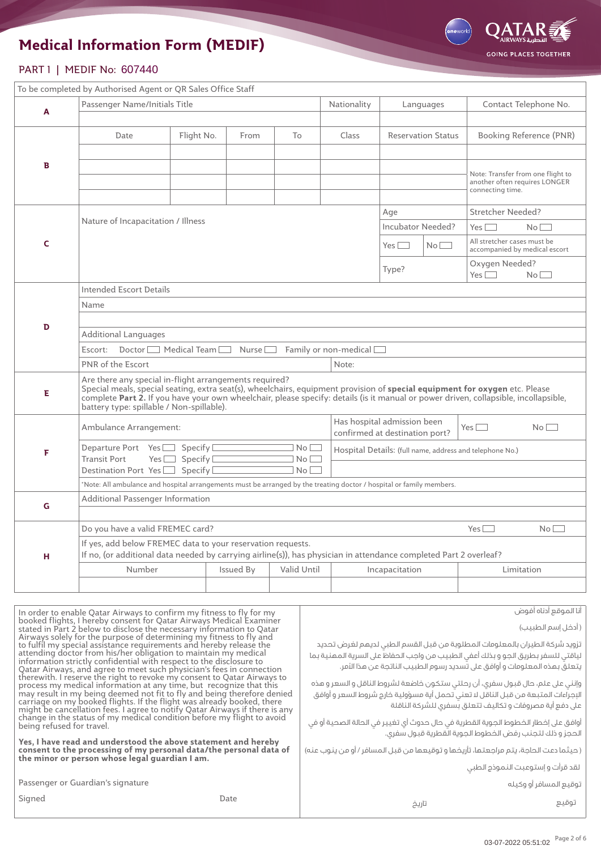

#### PART 1 | MEDIF No: 607440

|              | To be completed by Authorised Agent or QR Sales Office Staff                                                                                                                                                                                                                                                                                                               |                       |                                                          |                                             |                          |                       |                           |                         |                                                                    |  |  |
|--------------|----------------------------------------------------------------------------------------------------------------------------------------------------------------------------------------------------------------------------------------------------------------------------------------------------------------------------------------------------------------------------|-----------------------|----------------------------------------------------------|---------------------------------------------|--------------------------|-----------------------|---------------------------|-------------------------|--------------------------------------------------------------------|--|--|
| A            | Passenger Name/Initials Title                                                                                                                                                                                                                                                                                                                                              |                       | Nationality                                              |                                             | Languages                | Contact Telephone No. |                           |                         |                                                                    |  |  |
|              |                                                                                                                                                                                                                                                                                                                                                                            |                       |                                                          |                                             |                          |                       |                           |                         |                                                                    |  |  |
|              | Date                                                                                                                                                                                                                                                                                                                                                                       | Flight No.            | From                                                     | To                                          | Class                    |                       | <b>Reservation Status</b> | Booking Reference (PNR) |                                                                    |  |  |
|              |                                                                                                                                                                                                                                                                                                                                                                            |                       |                                                          |                                             |                          |                       |                           |                         |                                                                    |  |  |
| B            |                                                                                                                                                                                                                                                                                                                                                                            |                       |                                                          |                                             |                          |                       |                           | connecting time.        | Note: Transfer from one flight to<br>another often requires LONGER |  |  |
|              |                                                                                                                                                                                                                                                                                                                                                                            |                       | Stretcher Needed?                                        |                                             |                          |                       |                           |                         |                                                                    |  |  |
|              | Nature of Incapacitation / Illness                                                                                                                                                                                                                                                                                                                                         |                       |                                                          |                                             | <b>Incubator Needed?</b> |                       | Yes                       | No                      |                                                                    |  |  |
| $\mathsf{C}$ |                                                                                                                                                                                                                                                                                                                                                                            | No                    | All stretcher cases must be                              | accompanied by medical escort               |                          |                       |                           |                         |                                                                    |  |  |
|              | Oxygen Needed?<br>Type?<br>Yes                                                                                                                                                                                                                                                                                                                                             |                       |                                                          |                                             |                          |                       |                           |                         | No                                                                 |  |  |
|              | Intended Escort Details                                                                                                                                                                                                                                                                                                                                                    |                       |                                                          |                                             |                          |                       |                           |                         |                                                                    |  |  |
|              | Name                                                                                                                                                                                                                                                                                                                                                                       |                       |                                                          |                                             |                          |                       |                           |                         |                                                                    |  |  |
| D            |                                                                                                                                                                                                                                                                                                                                                                            |                       |                                                          |                                             |                          |                       |                           |                         |                                                                    |  |  |
|              | <b>Additional Languages</b>                                                                                                                                                                                                                                                                                                                                                |                       |                                                          |                                             |                          |                       |                           |                         |                                                                    |  |  |
|              | $Doster$ Medical Team<br>Family or non-medical<br>Escort:<br>Nurse <sub>[100</sub> ]                                                                                                                                                                                                                                                                                       |                       |                                                          |                                             |                          |                       |                           |                         |                                                                    |  |  |
|              | <b>PNR</b> of the Escort<br>Note:                                                                                                                                                                                                                                                                                                                                          |                       |                                                          |                                             |                          |                       |                           |                         |                                                                    |  |  |
| Е            | Are there any special in-flight arrangements required?<br>Special meals, special seating, extra seat(s), wheelchairs, equipment provision of special equipment for oxygen etc. Please<br>complete Part 2. If you have your own wheelchair, please specify: details (is it manual or power driven, collapsible, incollapsible,<br>battery type: spillable / Non-spillable). |                       |                                                          |                                             |                          |                       |                           |                         |                                                                    |  |  |
|              | Ambulance Arrangement:                                                                                                                                                                                                                                                                                                                                                     |                       |                                                          | Has hospital admission been<br>$Yes$ $\Box$ |                          |                       | No                        |                         |                                                                    |  |  |
|              |                                                                                                                                                                                                                                                                                                                                                                            |                       | confirmed at destination port?                           |                                             |                          |                       |                           |                         |                                                                    |  |  |
| F            | Departure Port Yes<br><b>Transit Port</b><br>Yes $\Box$                                                                                                                                                                                                                                                                                                                    | No<br>No <sub>[</sub> | Hospital Details: (full name, address and telephone No.) |                                             |                          |                       |                           |                         |                                                                    |  |  |
|              | Destination Port Yes Specify<br>No <sub>[</sub>                                                                                                                                                                                                                                                                                                                            |                       |                                                          |                                             |                          |                       |                           |                         |                                                                    |  |  |
|              | Note: All ambulance and hospital arrangements must be arranged by the treating doctor / hospital or family members.                                                                                                                                                                                                                                                        |                       |                                                          |                                             |                          |                       |                           |                         |                                                                    |  |  |
| G            | Additional Passenger Information                                                                                                                                                                                                                                                                                                                                           |                       |                                                          |                                             |                          |                       |                           |                         |                                                                    |  |  |
|              | Do you have a valid FREMEC card?                                                                                                                                                                                                                                                                                                                                           |                       | $Yes$ $\Box$                                             | No                                          |                          |                       |                           |                         |                                                                    |  |  |
| н            | If yes, add below FREMEC data to your reservation requests.<br>If no, (or additional data needed by carrying airline(s)), has physician in attendance completed Part 2 overleaf?                                                                                                                                                                                           |                       |                                                          |                                             |                          |                       |                           |                         |                                                                    |  |  |
|              | Number<br>Issued By<br>Valid Until<br>Incapacitation                                                                                                                                                                                                                                                                                                                       |                       |                                                          |                                             |                          |                       |                           |                         | Limitation                                                         |  |  |
|              |                                                                                                                                                                                                                                                                                                                                                                            |                       |                                                          |                                             |                          |                       |                           |                         |                                                                    |  |  |
|              |                                                                                                                                                                                                                                                                                                                                                                            |                       |                                                          |                                             |                          |                       |                           |                         |                                                                    |  |  |

| In order to enable Qatar Airways to confirm my fitness to fly for my                                                                                                                                                                                                                                                                                                                                                                                                                                                                                                                      | أنا الموقع أدناه أفوض                                                                                                                                                                                                                                                                                                                                                                                           |
|-------------------------------------------------------------------------------------------------------------------------------------------------------------------------------------------------------------------------------------------------------------------------------------------------------------------------------------------------------------------------------------------------------------------------------------------------------------------------------------------------------------------------------------------------------------------------------------------|-----------------------------------------------------------------------------------------------------------------------------------------------------------------------------------------------------------------------------------------------------------------------------------------------------------------------------------------------------------------------------------------------------------------|
| booked flights, I hereby consent for Qatar Airways Medical Examiner<br>stated in Part 2 below to disclose the necessary information to Qatar                                                                                                                                                                                                                                                                                                                                                                                                                                              | ( أدخل إسم الطبيب)                                                                                                                                                                                                                                                                                                                                                                                              |
| Airways solely for the purpose of determining my fitness to fly and<br>to fulfil my special assistance requirements and hereby release the<br>attending doctor from his/her obligation to maintain my medical<br>information strictly confidential with respect to the disclosure to<br>Qatar Airways, and agree to meet such physician's fees in connection<br>therewith. I reserve the right to revoke my consent to Qatar Airways to<br>process my medical information at any time, but recognize that this<br>may result in my being deemed not fit to fly and being therefore denied | تزويد شركة الطيران بالمعلومات المطلوبة من قبل القسم الطبى لديمم لغرض تحديد<br>لياقتي للسفر بطريق الجو و بذلك أعفي الطبيب من واجب الحفاظ على السرية المهنية بما<br>يتعلق بهذه المعلومات و أوافق على تسديد رسوم الطبيب الناتجة عن هذا الأمر.<br>وإنني على علم، حال قبول سفري، أن رحلتي ستكون خاضعة لشروط الناقل و السعر و هذه<br>الإجراءات المتبعة من قبل الناقل لا تعني تحمل أية مسؤولية خارج شروط السعر و أوافق |
| carriage on my booked flights. If the flight was already booked, there<br>might be cancellation fees. I agree to notify Qatar Airways if there is any                                                                                                                                                                                                                                                                                                                                                                                                                                     | على دفع أية مصروفات و تكاليف تتعلق بسفرى للشركة الناقلة                                                                                                                                                                                                                                                                                                                                                         |
| change in the status of my medical condition before my flight to avoid<br>being refused for travel.                                                                                                                                                                                                                                                                                                                                                                                                                                                                                       | أوافق على إخطار الخطوط الجوية القطرية في حال حدوث أي تغيير في الحالة الصحية أو في<br>الحجز و ذلك لتجنب رفض الخطوط الجوية القطرية قبول سفرى.                                                                                                                                                                                                                                                                     |
| Yes, I have read and understood the above statement and hereby<br>consent to the processing of my personal data/the personal data of<br>the minor or person whose legal guardian I am.                                                                                                                                                                                                                                                                                                                                                                                                    | ( حيثما دعت الحاجة، يتم مراجعتها، تأريخها و توقيعها من قبل المسافر / أو من ينوب عنه)                                                                                                                                                                                                                                                                                                                            |
|                                                                                                                                                                                                                                                                                                                                                                                                                                                                                                                                                                                           | لقد قرأت وإستوعبت النموذج الطبى                                                                                                                                                                                                                                                                                                                                                                                 |
| Passenger or Guardian's signature                                                                                                                                                                                                                                                                                                                                                                                                                                                                                                                                                         | توقيع المسافر أو وكيله                                                                                                                                                                                                                                                                                                                                                                                          |
| Signed<br>Date                                                                                                                                                                                                                                                                                                                                                                                                                                                                                                                                                                            | توقيع<br>تاريخ                                                                                                                                                                                                                                                                                                                                                                                                  |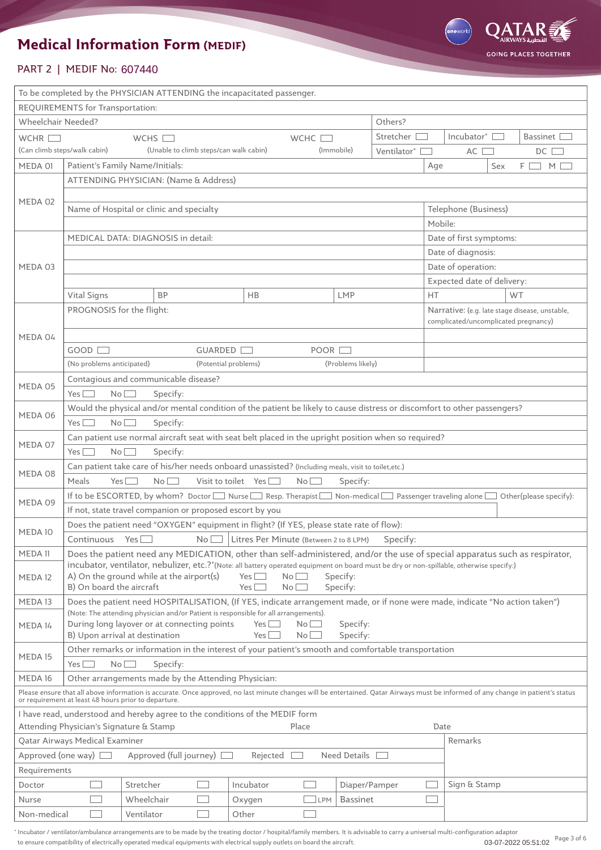

#### PART 2 | MEDIF No: 607440

| To be completed by the PHYSICIAN ATTENDING the incapacitated passenger.                                                                                                                                                                             |                                                                                                                                                                                                              |                                                                                                                        |             |                                        |      |                   |                        |     |                            |                                      |                                                |  |  |
|-----------------------------------------------------------------------------------------------------------------------------------------------------------------------------------------------------------------------------------------------------|--------------------------------------------------------------------------------------------------------------------------------------------------------------------------------------------------------------|------------------------------------------------------------------------------------------------------------------------|-------------|----------------------------------------|------|-------------------|------------------------|-----|----------------------------|--------------------------------------|------------------------------------------------|--|--|
| REQUIREMENTS for Transportation:                                                                                                                                                                                                                    |                                                                                                                                                                                                              |                                                                                                                        |             |                                        |      |                   |                        |     |                            |                                      |                                                |  |  |
| Wheelchair Needed?                                                                                                                                                                                                                                  | Others?                                                                                                                                                                                                      |                                                                                                                        |             |                                        |      |                   |                        |     |                            |                                      |                                                |  |  |
| WCHR $\square$                                                                                                                                                                                                                                      | Stretcher<br>WCHS $\square$<br>WCHC [                                                                                                                                                                        |                                                                                                                        |             |                                        |      |                   | Incubator $^*$         |     | Bassinet L                 |                                      |                                                |  |  |
|                                                                                                                                                                                                                                                     | (Can climb steps/walk cabin)<br>(Unable to climb steps/can walk cabin)<br>(Immobile)<br>Ventilator*                                                                                                          |                                                                                                                        |             |                                        |      |                   |                        | AC  |                            | $DC$ $\Box$                          |                                                |  |  |
| MEDA 01                                                                                                                                                                                                                                             | Patient's Family Name/Initials:                                                                                                                                                                              |                                                                                                                        |             |                                        |      |                   |                        | Age |                            | Sex                                  | ΕI<br>M <sub>l</sub>                           |  |  |
| ATTENDING PHYSICIAN: (Name & Address)                                                                                                                                                                                                               |                                                                                                                                                                                                              |                                                                                                                        |             |                                        |      |                   |                        |     |                            |                                      |                                                |  |  |
| MEDA 02                                                                                                                                                                                                                                             |                                                                                                                                                                                                              |                                                                                                                        |             |                                        |      |                   |                        |     |                            |                                      |                                                |  |  |
|                                                                                                                                                                                                                                                     | Name of Hospital or clinic and specialty                                                                                                                                                                     |                                                                                                                        |             |                                        |      |                   |                        |     | Telephone (Business)       |                                      |                                                |  |  |
|                                                                                                                                                                                                                                                     |                                                                                                                                                                                                              |                                                                                                                        |             |                                        |      |                   |                        |     | Mobile:                    |                                      |                                                |  |  |
|                                                                                                                                                                                                                                                     | MEDICAL DATA: DIAGNOSIS in detail:                                                                                                                                                                           |                                                                                                                        |             |                                        |      |                   |                        |     | Date of first symptoms:    |                                      |                                                |  |  |
|                                                                                                                                                                                                                                                     |                                                                                                                                                                                                              |                                                                                                                        |             |                                        |      |                   |                        |     |                            | Date of diagnosis:                   |                                                |  |  |
| MEDA 03                                                                                                                                                                                                                                             |                                                                                                                                                                                                              |                                                                                                                        |             |                                        |      |                   |                        |     | Date of operation:         |                                      |                                                |  |  |
|                                                                                                                                                                                                                                                     |                                                                                                                                                                                                              |                                                                                                                        |             |                                        |      |                   |                        |     | Expected date of delivery: |                                      |                                                |  |  |
|                                                                                                                                                                                                                                                     | Vital Signs                                                                                                                                                                                                  | <b>BP</b>                                                                                                              |             | <b>HB</b>                              |      | <b>LMP</b>        |                        |     |                            |                                      | WT                                             |  |  |
|                                                                                                                                                                                                                                                     | PROGNOSIS for the flight:                                                                                                                                                                                    |                                                                                                                        |             |                                        |      |                   |                        |     |                            |                                      | Narrative: (e.g. late stage disease, unstable, |  |  |
|                                                                                                                                                                                                                                                     |                                                                                                                                                                                                              |                                                                                                                        |             |                                        |      |                   |                        |     |                            | complicated/uncomplicated pregnancy) |                                                |  |  |
| MEDA 04                                                                                                                                                                                                                                             | GOOD [                                                                                                                                                                                                       |                                                                                                                        | GUARDED     |                                        | POOR |                   |                        |     |                            |                                      |                                                |  |  |
|                                                                                                                                                                                                                                                     | (No problems anticipated)                                                                                                                                                                                    |                                                                                                                        |             | (Potential problems)                   |      | (Problems likely) |                        |     |                            |                                      |                                                |  |  |
|                                                                                                                                                                                                                                                     |                                                                                                                                                                                                              | Contagious and communicable disease?                                                                                   |             |                                        |      |                   |                        |     |                            |                                      |                                                |  |  |
| MEDA 05                                                                                                                                                                                                                                             | $Yes$ $\Box$                                                                                                                                                                                                 |                                                                                                                        |             |                                        |      |                   |                        |     |                            |                                      |                                                |  |  |
|                                                                                                                                                                                                                                                     | $No$ $\Box$<br>Specify:<br>Would the physical and/or mental condition of the patient be likely to cause distress or discomfort to other passengers?                                                          |                                                                                                                        |             |                                        |      |                   |                        |     |                            |                                      |                                                |  |  |
| MEDA 06                                                                                                                                                                                                                                             | No<br>Specify:<br>Yes $\lfloor$                                                                                                                                                                              |                                                                                                                        |             |                                        |      |                   |                        |     |                            |                                      |                                                |  |  |
|                                                                                                                                                                                                                                                     |                                                                                                                                                                                                              |                                                                                                                        |             |                                        |      |                   |                        |     |                            |                                      |                                                |  |  |
| MEDA 07                                                                                                                                                                                                                                             | $Yes$ $\Box$                                                                                                                                                                                                 | Can patient use normal aircraft seat with seat belt placed in the upright position when so required?<br>No<br>Specify: |             |                                        |      |                   |                        |     |                            |                                      |                                                |  |  |
|                                                                                                                                                                                                                                                     |                                                                                                                                                                                                              |                                                                                                                        |             |                                        |      |                   |                        |     |                            |                                      |                                                |  |  |
| MEDA 08                                                                                                                                                                                                                                             | Can patient take care of his/her needs onboard unassisted? (Including meals, visit to toilet, etc.)<br>Meals<br>Visit to toilet Yes $\Box$<br>Yes <sup>[</sup><br>No <sub>l</sub><br>$No$ $\Box$<br>Specify: |                                                                                                                        |             |                                        |      |                   |                        |     |                            |                                      |                                                |  |  |
| If to be ESCORTED, by whom? Doctor Nurse Resp. Therapist Non-medical Passenger traveling alone D                                                                                                                                                    |                                                                                                                                                                                                              |                                                                                                                        |             |                                        |      |                   | Other(please specify): |     |                            |                                      |                                                |  |  |
| MEDA 09                                                                                                                                                                                                                                             |                                                                                                                                                                                                              | If not, state travel companion or proposed escort by you                                                               |             |                                        |      |                   |                        |     |                            |                                      |                                                |  |  |
|                                                                                                                                                                                                                                                     |                                                                                                                                                                                                              | Does the patient need "OXYGEN" equipment in flight? (If YES, please state rate of flow):                               |             |                                        |      |                   |                        |     |                            |                                      |                                                |  |  |
| MEDA 10                                                                                                                                                                                                                                             | Continuous Yes $\Box$                                                                                                                                                                                        |                                                                                                                        | $No$ $\Box$ | Litres Per Minute (Between 2 to 8 LPM) |      |                   | Specify:               |     |                            |                                      |                                                |  |  |
| MEDA 11                                                                                                                                                                                                                                             | Does the patient need any MEDICATION, other than self-administered, and/or the use of special apparatus such as respirator,                                                                                  |                                                                                                                        |             |                                        |      |                   |                        |     |                            |                                      |                                                |  |  |
|                                                                                                                                                                                                                                                     | incubator, ventilator, nebulizer, etc.?*(Note: all battery operated equipment on board must be dry or non-spillable, otherwise specify:)                                                                     |                                                                                                                        |             |                                        |      |                   |                        |     |                            |                                      |                                                |  |  |
| MEDA 12                                                                                                                                                                                                                                             | A) On the ground while at the airport(s)<br>$Yes$ $\Box$<br>$No$ $\Box$<br>Specify:<br>B) On board the aircraft<br>Specify:<br>Yes L<br>Nol                                                                  |                                                                                                                        |             |                                        |      |                   |                        |     |                            |                                      |                                                |  |  |
| MEDA 13                                                                                                                                                                                                                                             | Does the patient need HOSPITALISATION, (If YES, indicate arrangement made, or if none were made, indicate "No action taken")                                                                                 |                                                                                                                        |             |                                        |      |                   |                        |     |                            |                                      |                                                |  |  |
|                                                                                                                                                                                                                                                     | (Note: The attending physician and/or Patient is responsible for all arrangements).                                                                                                                          |                                                                                                                        |             |                                        |      |                   |                        |     |                            |                                      |                                                |  |  |
| MEDA 14                                                                                                                                                                                                                                             | During long layover or at connecting points<br>Specify:<br>$Yes$ $\Box$<br>$No$ $\Box$                                                                                                                       |                                                                                                                        |             |                                        |      |                   |                        |     |                            |                                      |                                                |  |  |
|                                                                                                                                                                                                                                                     | B) Upon arrival at destination<br>Specify:<br>Yes L<br>$No$ $\qquad$                                                                                                                                         |                                                                                                                        |             |                                        |      |                   |                        |     |                            |                                      |                                                |  |  |
| MEDA 15                                                                                                                                                                                                                                             | Other remarks or information in the interest of your patient's smooth and comfortable transportation                                                                                                         |                                                                                                                        |             |                                        |      |                   |                        |     |                            |                                      |                                                |  |  |
|                                                                                                                                                                                                                                                     | $No$ $\Box$<br>$Yes$ $\Box$<br>Specify:                                                                                                                                                                      |                                                                                                                        |             |                                        |      |                   |                        |     |                            |                                      |                                                |  |  |
| MEDA 16<br>Other arrangements made by the Attending Physician:<br>Please ensure that all above information is accurate. Once approved, no last minute changes will be entertained. Qatar Airways must be informed of any change in patient's status |                                                                                                                                                                                                              |                                                                                                                        |             |                                        |      |                   |                        |     |                            |                                      |                                                |  |  |
| or requirement at least 48 hours prior to departure.                                                                                                                                                                                                |                                                                                                                                                                                                              |                                                                                                                        |             |                                        |      |                   |                        |     |                            |                                      |                                                |  |  |
| I have read, understood and hereby agree to the conditions of the MEDIF form                                                                                                                                                                        |                                                                                                                                                                                                              |                                                                                                                        |             |                                        |      |                   |                        |     |                            |                                      |                                                |  |  |
|                                                                                                                                                                                                                                                     | Attending Physician's Signature & Stamp<br>Place<br>Date                                                                                                                                                     |                                                                                                                        |             |                                        |      |                   |                        |     |                            |                                      |                                                |  |  |
|                                                                                                                                                                                                                                                     | Qatar Airways Medical Examiner<br>Remarks                                                                                                                                                                    |                                                                                                                        |             |                                        |      |                   |                        |     |                            |                                      |                                                |  |  |
| Approved (full journey) [<br>Need Details<br>Approved (one way) $\Box$<br>Rejected                                                                                                                                                                  |                                                                                                                                                                                                              |                                                                                                                        |             |                                        |      |                   |                        |     |                            |                                      |                                                |  |  |
| Requirements                                                                                                                                                                                                                                        |                                                                                                                                                                                                              |                                                                                                                        |             |                                        |      |                   |                        |     |                            |                                      |                                                |  |  |
| Doctor                                                                                                                                                                                                                                              |                                                                                                                                                                                                              | Stretcher                                                                                                              |             | Incubator                              |      |                   | Diaper/Pamper          |     | Sign & Stamp               |                                      |                                                |  |  |
| Nurse                                                                                                                                                                                                                                               |                                                                                                                                                                                                              | Wheelchair                                                                                                             |             | Oxygen                                 | LPM  | <b>Bassinet</b>   |                        |     |                            |                                      |                                                |  |  |
| Non-medical                                                                                                                                                                                                                                         |                                                                                                                                                                                                              | Ventilator                                                                                                             |             | Other                                  |      |                   |                        |     |                            |                                      |                                                |  |  |

\* Incubator / ventilator/ambulance arrangements are to be made by the treating doctor / hospital/family members. It is advisable to carry a universal multi-configuration adaptor to ensure compatibility of electrically operated medical equipments with electrical supply outlets on board the aircraft. 03-07-2022 05:51:02 Page 3 of 6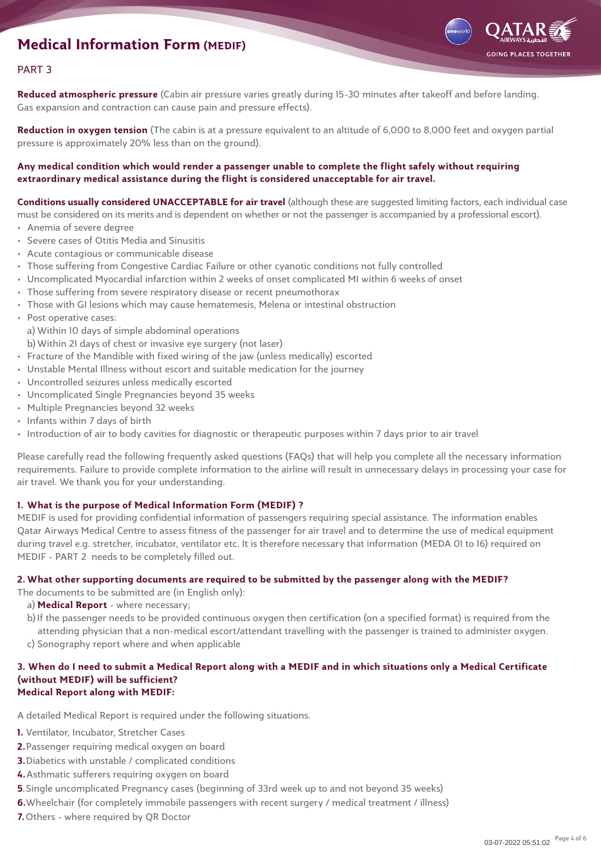

#### PART 3

**Reduced atmospheric pressure** (Cabin air pressure varies greatly during 15-30 minutes after takeoff and before landing. Gas expansion and contraction can cause pain and pressure effects).

**Reduction in oxygen tension** (The cabin is at a pressure equivalent to an altitude of 6,000 to 8,000 feet and oxygen partial pressure is approximately 20% less than on the ground).

**Any medical condition which would render a passenger unable to complete the flight safely without requiring extraordinary medical assistance during the flight is considered unacceptable for air travel.**

**Conditions usually considered UNACCEPTABLE for air travel** (although these are suggested limiting factors, each individual case must be considered on its merits and is dependent on whether or not the passenger is accompanied by a professional escort).

- Anemia of severe degree
- Severe cases of Otitis Media and Sinusitis
- Acute contagious or communicable disease
- Those suffering from Congestive Cardiac Failure or other cyanotic conditions not fully controlled
- Uncomplicated Myocardial infarction within 2 weeks of onset complicated MI within 6 weeks of onset
- Those suffering from severe respiratory disease or recent pneumothorax
- Those with GI lesions which may cause hematemesis, Melena or intestinal obstruction
- Post operative cases: a) Within 10 days of simple abdominal operations b)Within 21 days of chest or invasive eye surgery (not laser)
- Fracture of the Mandible with fixed wiring of the jaw (unless medically) escorted
- Unstable Mental Illness without escort and suitable medication for the journey
- Uncontrolled seizures unless medically escorted
- Uncomplicated Single Pregnancies beyond 35 weeks
- Multiple Pregnancies beyond 32 weeks
- Infants within 7 days of birth
- Introduction of air to body cavities for diagnostic or therapeutic purposes within 7 days prior to air travel

Please carefully read the following frequently asked questions (FAQs) that will help you complete all the necessary information requirements. Failure to provide complete information to the airline will result in unnecessary delays in processing your case for air travel. We thank you for your understanding.

#### **1. What is the purpose of Medical Information Form (MEDIF) ?**

MEDIF is used for providing confidential information of passengers requiring special assistance. The information enables Qatar Airways Medical Centre to assess fitness of the passenger for air travel and to determine the use of medical equipment during travel e.g. stretcher, incubator, ventilator etc. It is therefore necessary that information (MEDA 01 to 16) required on MEDIF - PART 2 needs to be completely filled out.

#### **2.What other supporting documents are required to be submitted by the passenger along with the MEDIF?**

The documents to be submitted are (in English only):

- a) **Medical Report** where necessary;
- b)If the passenger needs to be provided continuous oxygen then certification (on a specified format) is required from the attending physician that a non-medical escort/attendant travelling with the passenger is trained to administer oxygen.
- c) Sonography report where and when applicable

#### **3. When do I need to submit a Medical Report along with a MEDIF and in which situations only a Medical Certificate (without MEDIF) will be sufficient? Medical Report along with MEDIF:**

A detailed Medical Report is required under the following situations.

- **1.** Ventilator, Incubator, Stretcher Cases
- **2.**Passenger requiring medical oxygen on board
- **3.**Diabetics with unstable / complicated conditions
- **4.**Asthmatic sufferers requiring oxygen on board
- **5**.Single uncomplicated Pregnancy cases (beginning of 33rd week up to and not beyond 35 weeks)
- **6.**Wheelchair (for completely immobile passengers with recent surgery / medical treatment / illness)
- **7.**Others where required by QR Doctor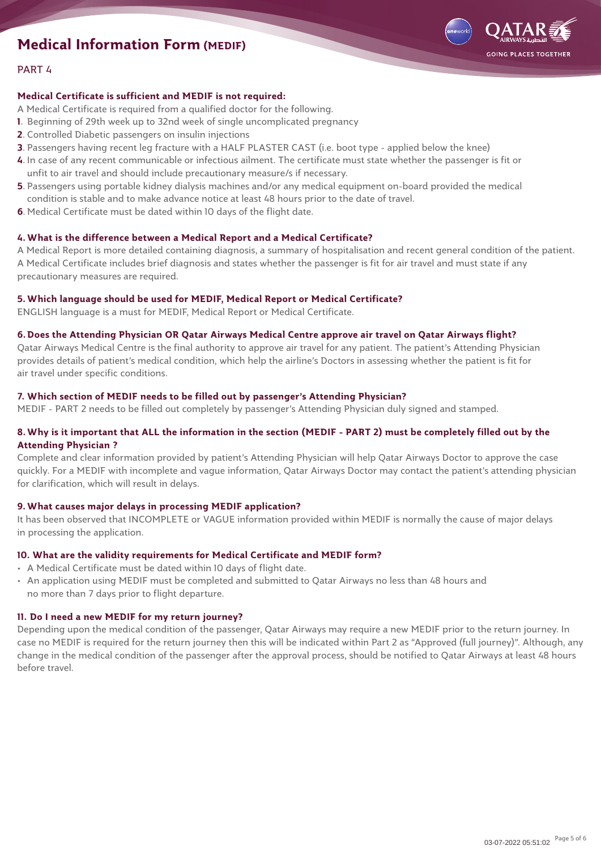

#### PART 4

#### **Medical Certificate is sufficient and MEDIF is not required:**

- A Medical Certificate is required from a qualified doctor for the following.
- **1**. Beginning of 29th week up to 32nd week of single uncomplicated pregnancy
- **2**. Controlled Diabetic passengers on insulin injections
- **3**. Passengers having recent leg fracture with a HALF PLASTER CAST (i.e. boot type applied below the knee)
- **4**. In case of any recent communicable or infectious ailment. The certificate must state whether the passenger is fit or unfit to air travel and should include precautionary measure/s if necessary.
- **5**. Passengers using portable kidney dialysis machines and/or any medical equipment on-board provided the medical condition is stable and to make advance notice at least 48 hours prior to the date of travel.
- **6**. Medical Certificate must be dated within 10 days of the flight date.

#### **4.What is the difference between a Medical Report and a Medical Certificate?**

A Medical Report is more detailed containing diagnosis, a summary of hospitalisation and recent general condition of the patient. A Medical Certificate includes brief diagnosis and states whether the passenger is fit for air travel and must state if any precautionary measures are required.

#### **5.Which language should be used for MEDIF, Medical Report or Medical Certificate?**

ENGLISH language is a must for MEDIF, Medical Report or Medical Certificate.

#### **6.Does the Attending Physician OR Qatar Airways Medical Centre approve air travel on Qatar Airways flight?**

Qatar Airways Medical Centre is the final authority to approve air travel for any patient. The patient's Attending Physician provides details of patient's medical condition, which help the airline's Doctors in assessing whether the patient is fit for air travel under specific conditions.

#### **7. Which section of MEDIF needs to be filled out by passenger's Attending Physician?**

MEDIF - PART 2 needs to be filled out completely by passenger's Attending Physician duly signed and stamped.

#### **8.Why is it important that ALL the information in the section (MEDIF - PART 2) must be completely filled out by the Attending Physician ?**

Complete and clear information provided by patient's Attending Physician will help Qatar Airways Doctor to approve the case quickly. For a MEDIF with incomplete and vague information, Qatar Airways Doctor may contact the patient's attending physician for clarification, which will result in delays.

#### **9.What causes major delays in processing MEDIF application?**

It has been observed that INCOMPLETE or VAGUE information provided within MEDIF is normally the cause of major delays in processing the application.

#### **10. What are the validity requirements for Medical Certificate and MEDIF form?**

- A Medical Certificate must be dated within 10 days of flight date.
- An application using MEDIF must be completed and submitted to Qatar Airways no less than 48 hours and no more than 7 days prior to flight departure.

#### **11. Do I need a new MEDIF for my return journey?**

Depending upon the medical condition of the passenger, Qatar Airways may require a new MEDIF prior to the return journey. In case no MEDIF is required for the return journey then this will be indicated within Part 2 as "Approved (full journey)". Although, any change in the medical condition of the passenger after the approval process, should be notified to Qatar Airways at least 48 hours before travel.